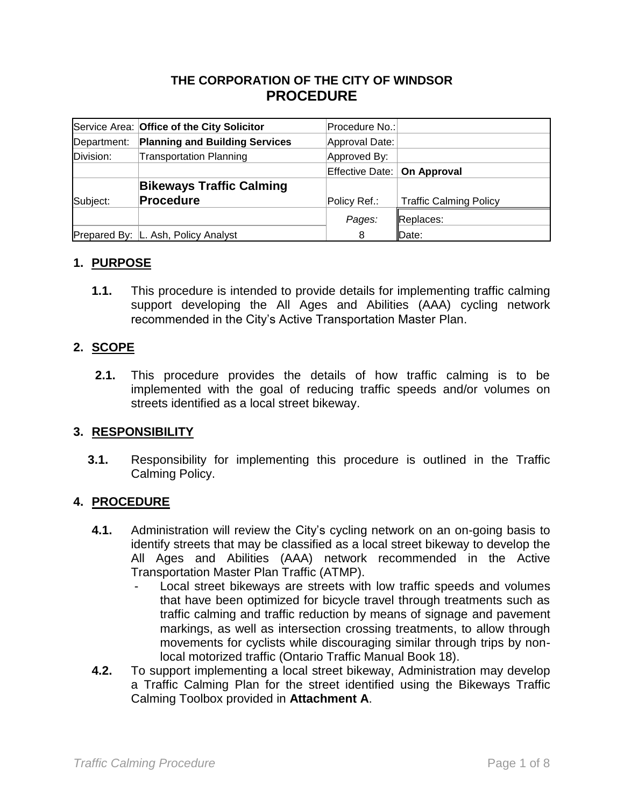## **THE CORPORATION OF THE CITY OF WINDSOR PROCEDURE**

|             | Service Area: Office of the City Solicitor | Procedure No.:                |                               |
|-------------|--------------------------------------------|-------------------------------|-------------------------------|
| Department: | <b>Planning and Building Services</b>      | Approval Date:                |                               |
| Division:   | <b>Transportation Planning</b>             | Approved By:                  |                               |
|             |                                            | Effective Date:   On Approval |                               |
|             | <b>Bikeways Traffic Calming</b>            |                               |                               |
| Subject:    | <b>Procedure</b>                           | Policy Ref.:                  | <b>Traffic Calming Policy</b> |
|             |                                            | Pages:                        | Replaces:                     |
|             | Prepared By: L. Ash, Policy Analyst        | 8                             | Date:                         |

### **1. PURPOSE**

**1.1.** This procedure is intended to provide details for implementing traffic calming support developing the All Ages and Abilities (AAA) cycling network recommended in the City's Active Transportation Master Plan.

#### **2. SCOPE**

**2.1.** This procedure provides the details of how traffic calming is to be implemented with the goal of reducing traffic speeds and/or volumes on streets identified as a local street bikeway.

#### **3. RESPONSIBILITY**

**3.1.** Responsibility for implementing this procedure is outlined in the Traffic Calming Policy.

#### **4. PROCEDURE**

- **4.1.** Administration will review the City's cycling network on an on-going basis to identify streets that may be classified as a local street bikeway to develop the All Ages and Abilities (AAA) network recommended in the Active Transportation Master Plan Traffic (ATMP).
	- Local street bikeways are streets with low traffic speeds and volumes that have been optimized for bicycle travel through treatments such as traffic calming and traffic reduction by means of signage and pavement markings, as well as intersection crossing treatments, to allow through movements for cyclists while discouraging similar through trips by nonlocal motorized traffic (Ontario Traffic Manual Book 18).
- **4.2.** To support implementing a local street bikeway, Administration may develop a Traffic Calming Plan for the street identified using the Bikeways Traffic Calming Toolbox provided in **Attachment A**.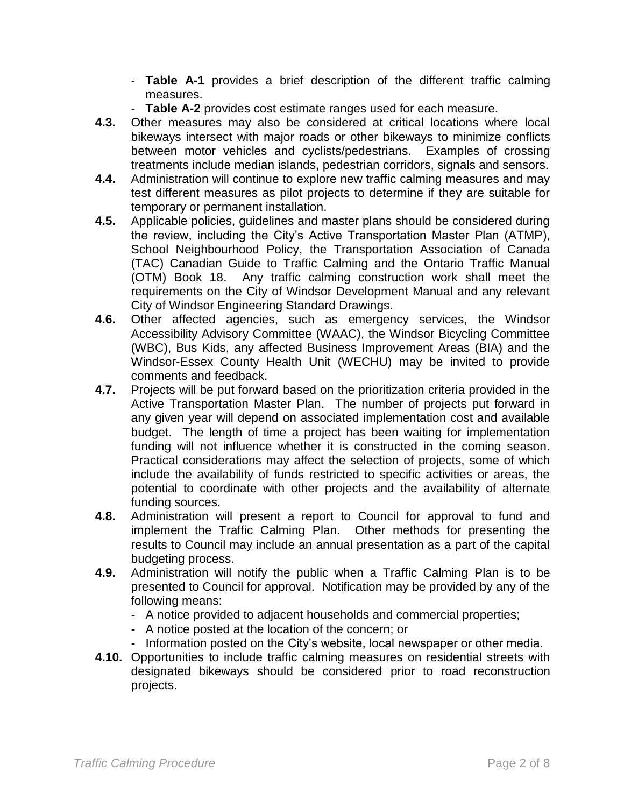- **Table A-1** provides a brief description of the different traffic calming measures.
- **Table A-2** provides cost estimate ranges used for each measure.
- **4.3.** Other measures may also be considered at critical locations where local bikeways intersect with major roads or other bikeways to minimize conflicts between motor vehicles and cyclists/pedestrians. Examples of crossing treatments include median islands, pedestrian corridors, signals and sensors.
- **4.4.** Administration will continue to explore new traffic calming measures and may test different measures as pilot projects to determine if they are suitable for temporary or permanent installation.
- **4.5.** Applicable policies, guidelines and master plans should be considered during the review, including the City's Active Transportation Master Plan (ATMP), School Neighbourhood Policy, the Transportation Association of Canada (TAC) Canadian Guide to Traffic Calming and the Ontario Traffic Manual (OTM) Book 18. Any traffic calming construction work shall meet the requirements on the City of Windsor Development Manual and any relevant City of Windsor Engineering Standard Drawings.
- **4.6.** Other affected agencies, such as emergency services, the Windsor Accessibility Advisory Committee (WAAC), the Windsor Bicycling Committee (WBC), Bus Kids, any affected Business Improvement Areas (BIA) and the Windsor-Essex County Health Unit (WECHU) may be invited to provide comments and feedback.
- **4.7.** Projects will be put forward based on the prioritization criteria provided in the Active Transportation Master Plan. The number of projects put forward in any given year will depend on associated implementation cost and available budget. The length of time a project has been waiting for implementation funding will not influence whether it is constructed in the coming season. Practical considerations may affect the selection of projects, some of which include the availability of funds restricted to specific activities or areas, the potential to coordinate with other projects and the availability of alternate funding sources.
- **4.8.** Administration will present a report to Council for approval to fund and implement the Traffic Calming Plan. Other methods for presenting the results to Council may include an annual presentation as a part of the capital budgeting process.
- **4.9.** Administration will notify the public when a Traffic Calming Plan is to be presented to Council for approval. Notification may be provided by any of the following means:
	- A notice provided to adjacent households and commercial properties;
	- A notice posted at the location of the concern; or
	- Information posted on the City's website, local newspaper or other media.
- **4.10.** Opportunities to include traffic calming measures on residential streets with designated bikeways should be considered prior to road reconstruction projects.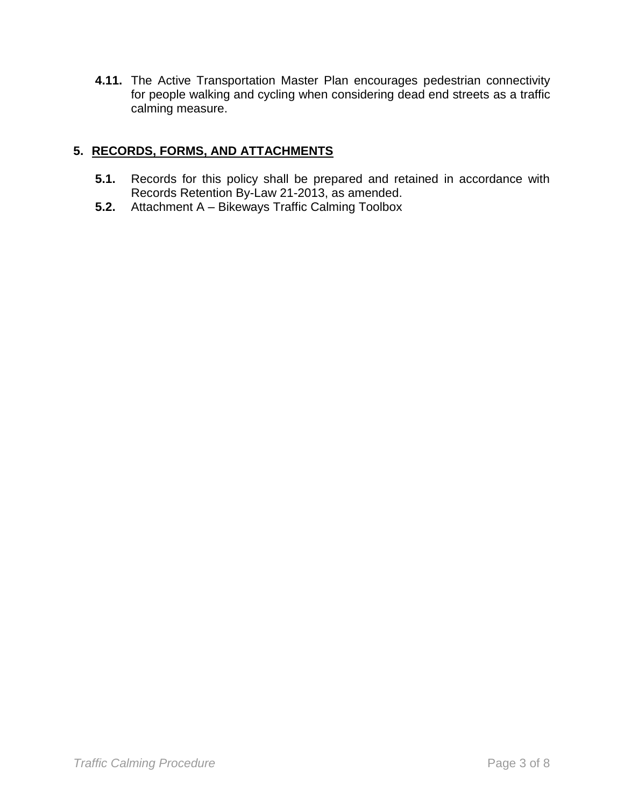**4.11.** The Active Transportation Master Plan encourages pedestrian connectivity for people walking and cycling when considering dead end streets as a traffic calming measure.

## **5. RECORDS, FORMS, AND ATTACHMENTS**

- **5.1.** Records for this policy shall be prepared and retained in accordance with Records Retention By-Law 21-2013, as amended.
- **5.2.** Attachment A Bikeways Traffic Calming Toolbox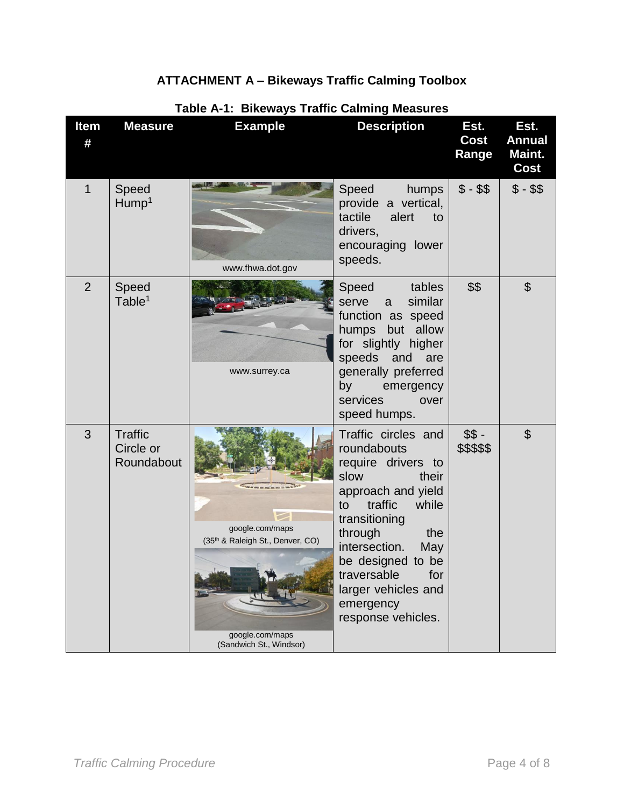# **ATTACHMENT A – Bikeways Traffic Calming Toolbox**

| <b>Item</b><br># | <b>Measure</b>                            | <b>Example</b>                                                                                                | <b>Description</b>                                                                                                                                                                                                                                                                        | Est.<br><b>Cost</b><br>Range | Est.<br><b>Annual</b><br>Maint.<br>Cost |
|------------------|-------------------------------------------|---------------------------------------------------------------------------------------------------------------|-------------------------------------------------------------------------------------------------------------------------------------------------------------------------------------------------------------------------------------------------------------------------------------------|------------------------------|-----------------------------------------|
| 1                | Speed<br>Hump <sup>1</sup>                | www.fhwa.dot.gov                                                                                              | Speed<br>humps<br>provide a vertical,<br>tactile<br>alert<br>to<br>drivers,<br>encouraging lower<br>speeds.                                                                                                                                                                               | $$ - $$                      | $$ - $$                                 |
| $\overline{2}$   | Speed<br>Table <sup>1</sup>               | www.surrey.ca                                                                                                 | Speed<br>tables<br>similar<br>serve<br>a<br>function as speed<br>but allow<br>humps<br>for slightly higher<br>speeds and<br>are<br>generally preferred<br>by<br>emergency<br>services<br>over<br>speed humps.                                                                             | \$\$                         | $\mathfrak{L}$                          |
| 3                | <b>Traffic</b><br>Circle or<br>Roundabout | google.com/maps<br>(35 <sup>th</sup> & Raleigh St., Denver, CO)<br>google.com/maps<br>(Sandwich St., Windsor) | Traffic circles and<br>roundabouts<br>require drivers to<br>slow<br>their<br>approach and yield<br>traffic<br>while<br>to<br>transitioning<br>through<br>the<br>intersection.<br>May<br>be designed to be<br>traversable<br>for<br>larger vehicles and<br>emergency<br>response vehicles. | $$S -$<br>\$\$\$\$\$         | $\mathfrak{L}$                          |

## **Table A-1: Bikeways Traffic Calming Measures**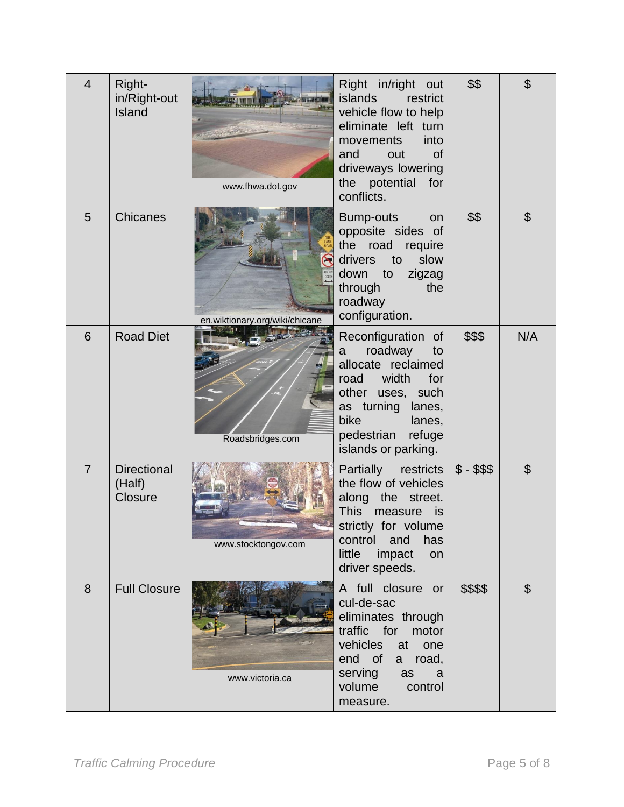| $\overline{4}$ | Right-<br>in/Right-out<br>Island               | www.fhwa.dot.gov               | Right in/right out<br>islands<br>restrict<br>vehicle flow to help<br>eliminate left turn<br>into<br>movements<br><b>of</b><br>and<br>out<br>driveways lowering<br>the potential<br>for<br>conflicts. | \$\$         | \$                    |
|----------------|------------------------------------------------|--------------------------------|------------------------------------------------------------------------------------------------------------------------------------------------------------------------------------------------------|--------------|-----------------------|
| 5              | Chicanes                                       | en.wiktionary.org/wiki/chicane | <b>Bump-outs</b><br>on<br>opposite sides of<br>the<br>road<br>require<br>drivers<br>slow<br>to<br>down<br>to<br>zigzag<br>the<br>through<br>roadway<br>configuration.                                | \$\$         | $\boldsymbol{\theta}$ |
| 6              | <b>Road Diet</b>                               | Roadsbridges.com               | Reconfiguration of<br>roadway<br>to<br>a<br>allocate reclaimed<br>width<br>for<br>road<br>other uses, such<br>as turning lanes,<br>bike<br>lanes,<br>pedestrian<br>refuge<br>islands or parking.     | \$\$\$       | N/A                   |
| $\overline{7}$ | <b>Directional</b><br>(Half)<br><b>Closure</b> | www.stocktongov.com            | Partially restricts<br>the flow of vehicles<br>along the<br>street.<br>This<br>measure<br>is i<br>strictly for volume<br>has<br>control<br>and<br>little<br>impact<br>on<br>driver speeds.           | $$ - $$ \$\$ | \$                    |
| 8              | <b>Full Closure</b>                            | www.victoria.ca                | A full closure or<br>cul-de-sac<br>eliminates through<br>traffic<br>for<br>motor<br>vehicles<br>at<br>one<br>end of<br>road,<br>a -<br>serving<br>as<br>a<br>volume<br>control<br>measure.           | \$\$\$\$     | \$                    |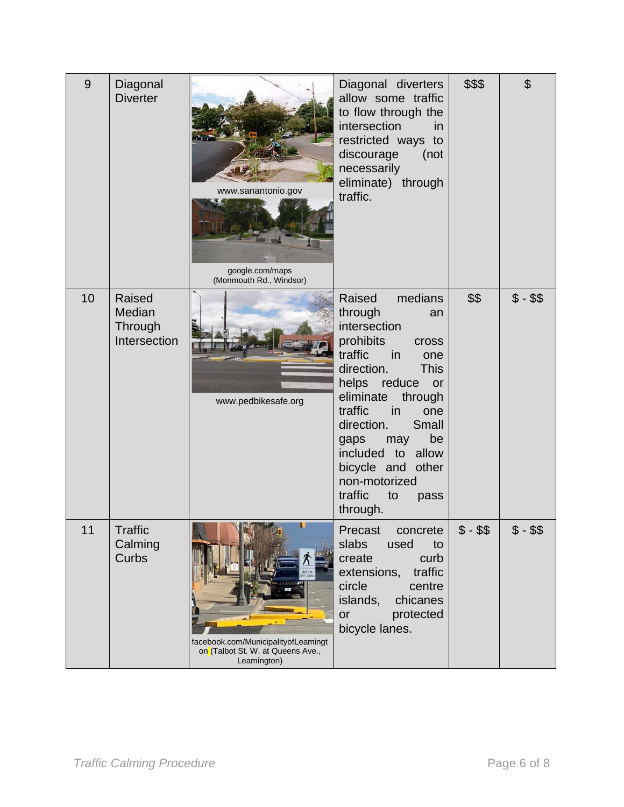| 9  | Diagonal<br><b>Diverter</b>                 | www.sanantonio.gov<br>google.com/maps<br>(Monmouth Rd., Windsor)                             | Diagonal diverters<br>allow some traffic<br>to flow through the<br>intersection<br>in<br>restricted ways to<br>discourage<br>(not<br>necessarily<br>eliminate) through<br>traffic.                                                                                                                                                                     | \$\$\$ | \$        |
|----|---------------------------------------------|----------------------------------------------------------------------------------------------|--------------------------------------------------------------------------------------------------------------------------------------------------------------------------------------------------------------------------------------------------------------------------------------------------------------------------------------------------------|--------|-----------|
| 10 | Raised<br>Median<br>Through<br>Intersection | www.pedbikesafe.org                                                                          | Raised<br>medians<br>through<br>an<br>intersection<br>prohibits<br><b>Cross</b><br>traffic<br>in<br>one<br>direction.<br><b>This</b><br>helps reduce<br>or<br>eliminate<br>through<br>traffic<br>in<br>one<br>direction.<br>Small<br>be<br>gaps<br>may<br>included to allow<br>bicycle and other<br>non-motorized<br>traffic<br>to<br>pass<br>through. | \$\$   | $$ - $$   |
| 11 | <b>Traffic</b><br>Calming<br>Curbs          | ш<br>facebook.com/MunicipalityofLeamingt<br>on (Talbot St. W. at Queens Ave.,<br>Leamington) | Precast<br>concrete<br>slabs<br>used<br>to<br>create<br>curb<br>traffic<br>extensions,<br>circle<br>centre<br>islands,<br>chicanes<br>protected<br>or<br>bicycle lanes.                                                                                                                                                                                | \$\$   | \$\$<br>Φ |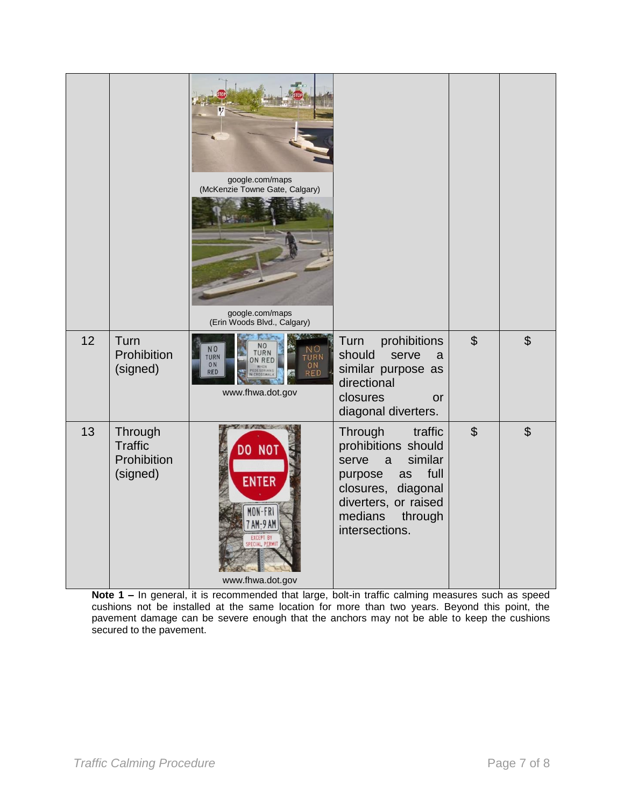|    |                                                      | google.com/maps<br>(McKenzie Towne Gate, Calgary)<br>google.com/maps<br>(Erin Woods Blvd., Calgary)                            |                                                                                                                                                                                              |                |                |
|----|------------------------------------------------------|--------------------------------------------------------------------------------------------------------------------------------|----------------------------------------------------------------------------------------------------------------------------------------------------------------------------------------------|----------------|----------------|
| 12 | Turn<br>Prohibition<br>(signed)                      | N <sub>O</sub><br>N <sub>O</sub><br>TURN<br>ON RED<br><b>TURN</b><br>TURN<br>ON<br>ON<br><b>RED</b><br>RED<br>www.fhwa.dot.gov | prohibitions<br>Turn<br>should<br>serve<br>a<br>similar purpose as<br>directional<br>closures<br>or<br>diagonal diverters.                                                                   | $\mathfrak{S}$ | $\mathfrak{S}$ |
| 13 | Through<br><b>Traffic</b><br>Prohibition<br>(signed) | <b>A</b> / B<br>DO NOT<br><b>ENTER</b><br>MON-FRI<br>7 AM-9 AM<br>EXCEPT BY<br>SPECIAL PERMIT<br>www.fhwa.dot.gov              | Through<br>traffic<br>prohibitions should<br>similar<br>serve<br>$\mathsf{a}$<br>full<br>purpose<br>as<br>closures, diagonal<br>diverters, or raised<br>medians<br>through<br>intersections. | $\mathfrak{S}$ | $\mathfrak{S}$ |

**Note 1 –** In general, it is recommended that large, bolt-in traffic calming measures such as speed cushions not be installed at the same location for more than two years. Beyond this point, the pavement damage can be severe enough that the anchors may not be able to keep the cushions secured to the pavement.